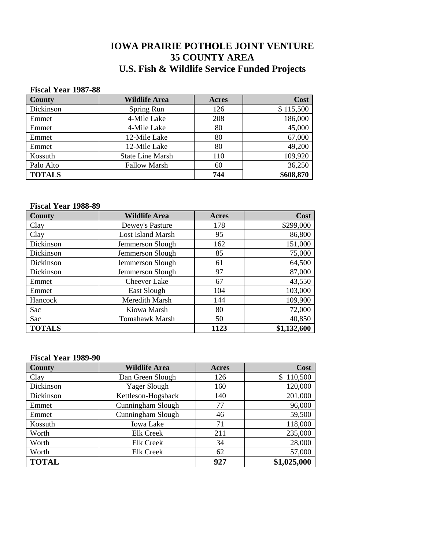# **IOWA PRAIRIE POTHOLE JOINT VENTURE 35 COUNTY AREA U.S. Fish & Wildlife Service Funded Projects**

#### **Fiscal Year 1987-88**

| <b>County</b> | <b>Wildlife Area</b>    | Acres | Cost      |
|---------------|-------------------------|-------|-----------|
| Dickinson     | Spring Run              | 126   | \$115,500 |
| Emmet         | 4-Mile Lake             | 208   | 186,000   |
| Emmet         | 4-Mile Lake             | 80    | 45,000    |
| Emmet         | 12-Mile Lake            | 80    | 67,000    |
| Emmet         | 12-Mile Lake            | 80    | 49,200    |
| Kossuth       | <b>State Line Marsh</b> | 110   | 109,920   |
| Palo Alto     | <b>Fallow Marsh</b>     | 60    | 36,250    |
| <b>TOTALS</b> |                         | 744   | \$608,870 |

#### **Fiscal Year 1988-89**

| <b>County</b> | <b>Wildlife Area</b>     | <b>Acres</b> | Cost        |
|---------------|--------------------------|--------------|-------------|
| Clay          | Dewey's Pasture          | 178          | \$299,000   |
| Clay          | <b>Lost Island Marsh</b> | 95           | 86,800      |
| Dickinson     | Jemmerson Slough         | 162          | 151,000     |
| Dickinson     | Jemmerson Slough         | 85           | 75,000      |
| Dickinson     | Jemmerson Slough         | 61           | 64,500      |
| Dickinson     | Jemmerson Slough         | 97           | 87,000      |
| Emmet         | <b>Cheever Lake</b>      | 67           | 43,550      |
| Emmet         | East Slough              | 104          | 103,000     |
| Hancock       | <b>Meredith Marsh</b>    | 144          | 109,900     |
| Sac           | Kiowa Marsh              | 80           | 72,000      |
| Sac           | Tomahawk Marsh           | 50           | 40,850      |
| <b>TOTALS</b> |                          | 1123         | \$1,132,600 |

#### **Fiscal Year 1989-90**

| County       | <b>Wildlife Area</b> | Acres | Cost        |
|--------------|----------------------|-------|-------------|
| Clay         | Dan Green Slough     | 126   | \$110,500   |
| Dickinson    | Yager Slough         | 160   | 120,000     |
| Dickinson    | Kettleson-Hogsback   | 140   | 201,000     |
| Emmet        | Cunningham Slough    | 77    | 96,000      |
| Emmet        | Cunningham Slough    | 46    | 59,500      |
| Kossuth      | <b>Iowa Lake</b>     | 71    | 118,000     |
| Worth        | <b>Elk Creek</b>     | 211   | 235,000     |
| Worth        | <b>Elk Creek</b>     | 34    | 28,000      |
| Worth        | <b>Elk Creek</b>     | 62    | 57,000      |
| <b>TOTAL</b> |                      | 927   | \$1,025,000 |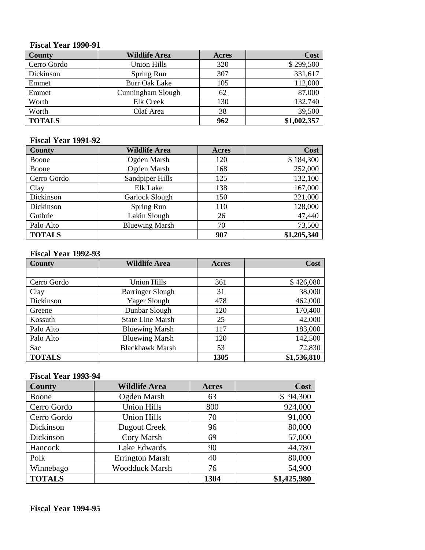#### **Fiscal Year 1990-91**

| <b>County</b> | <b>Wildlife Area</b> | Acres | Cost        |
|---------------|----------------------|-------|-------------|
| Cerro Gordo   | <b>Union Hills</b>   | 320   | \$299,500   |
| Dickinson     | Spring Run           | 307   | 331,617     |
| Emmet         | <b>Burr Oak Lake</b> | 105   | 112,000     |
| Emmet         | Cunningham Slough    | 62    | 87,000      |
| Worth         | <b>Elk Creek</b>     | 130   | 132,740     |
| Worth         | Olaf Area            | 38    | 39,500      |
| <b>TOTALS</b> |                      | 962   | \$1,002,357 |

#### **Fiscal Year 1991-92**

| <b>County</b> | <b>Wildlife Area</b>  | <b>Acres</b> | Cost        |
|---------------|-----------------------|--------------|-------------|
| Boone         | Ogden Marsh           | 120          | \$184,300   |
| Boone         | Ogden Marsh           | 168          | 252,000     |
| Cerro Gordo   | Sandpiper Hills       | 125          | 132,100     |
| Clay          | Elk Lake              | 138          | 167,000     |
| Dickinson     | Garlock Slough        | 150          | 221,000     |
| Dickinson     | Spring Run            | 110          | 128,000     |
| Guthrie       | Lakin Slough          | 26           | 47,440      |
| Palo Alto     | <b>Bluewing Marsh</b> | 70           | 73,500      |
| <b>TOTALS</b> |                       | 907          | \$1,205,340 |

#### **Fiscal Year 1992-93**

| <b>County</b> | <b>Wildlife Area</b>    | Acres | Cost        |
|---------------|-------------------------|-------|-------------|
|               |                         |       |             |
| Cerro Gordo   | Union Hills             | 361   | \$426,080   |
| Clay          | <b>Barringer Slough</b> | 31    | 38,000      |
| Dickinson     | Yager Slough            | 478   | 462,000     |
| Greene        | Dunbar Slough           | 120   | 170,400     |
| Kossuth       | <b>State Line Marsh</b> | 25    | 42,000      |
| Palo Alto     | <b>Bluewing Marsh</b>   | 117   | 183,000     |
| Palo Alto     | <b>Bluewing Marsh</b>   | 120   | 142,500     |
| Sac           | <b>Blackhawk Marsh</b>  | 53    | 72,830      |
| <b>TOTALS</b> |                         | 1305  | \$1,536,810 |

### **Fiscal Year 1993-94**

| <b>County</b> | <b>Wildlife Area</b>   | Acres | Cost        |
|---------------|------------------------|-------|-------------|
| Boone         | Ogden Marsh            | 63    | \$94,300    |
| Cerro Gordo   | <b>Union Hills</b>     | 800   | 924,000     |
| Cerro Gordo   | <b>Union Hills</b>     | 70    | 91,000      |
| Dickinson     | Dugout Creek           | 96    | 80,000      |
| Dickinson     | Cory Marsh             | 69    | 57,000      |
| Hancock       | Lake Edwards           | 90    | 44,780      |
| Polk          | <b>Errington Marsh</b> | 40    | 80,000      |
| Winnebago     | <b>Woodduck Marsh</b>  | 76    | 54,900      |
| <b>TOTALS</b> |                        | 1304  | \$1,425,980 |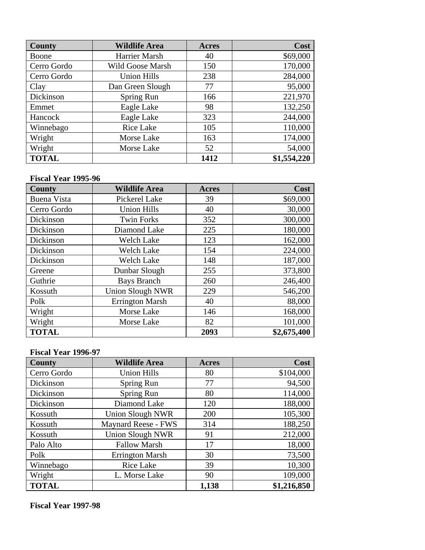| <b>County</b> | <b>Wildlife Area</b> | <b>Acres</b> | Cost        |
|---------------|----------------------|--------------|-------------|
| Boone         | Harrier Marsh        | 40           | \$69,000    |
| Cerro Gordo   | Wild Goose Marsh     | 150          | 170,000     |
| Cerro Gordo   | <b>Union Hills</b>   | 238          | 284,000     |
| Clay          | Dan Green Slough     | 77           | 95,000      |
| Dickinson     | Spring Run           | 166          | 221,970     |
| Emmet         | Eagle Lake           | 98           | 132,250     |
| Hancock       | Eagle Lake           | 323          | 244,000     |
| Winnebago     | <b>Rice Lake</b>     | 105          | 110,000     |
| Wright        | Morse Lake           | 163          | 174,000     |
| Wright        | Morse Lake           | 52           | 54,000      |
| <b>TOTAL</b>  |                      | 1412         | \$1,554,220 |

#### **Fiscal Year 1995-96**

| <b>County</b>      | <b>Wildlife Area</b>    | <b>Acres</b> | Cost        |
|--------------------|-------------------------|--------------|-------------|
| <b>Buena Vista</b> | Pickerel Lake           | 39           | \$69,000    |
| Cerro Gordo        | <b>Union Hills</b>      | 40           | 30,000      |
| Dickinson          | <b>Twin Forks</b>       | 352          | 300,000     |
| Dickinson          | Diamond Lake            | 225          | 180,000     |
| Dickinson          | <b>Welch Lake</b>       | 123          | 162,000     |
| Dickinson          | <b>Welch Lake</b>       | 154          | 224,000     |
| Dickinson          | <b>Welch Lake</b>       | 148          | 187,000     |
| Greene             | Dunbar Slough           | 255          | 373,800     |
| Guthrie            | <b>Bays Branch</b>      | 260          | 246,400     |
| Kossuth            | <b>Union Slough NWR</b> | 229          | 546,200     |
| Polk               | <b>Errington Marsh</b>  | 40           | 88,000      |
| Wright             | Morse Lake              | 146          | 168,000     |
| Wright             | Morse Lake              | 82           | 101,000     |
| <b>TOTAL</b>       |                         | 2093         | \$2,675,400 |

### **Fiscal Year 1996-97**

| <b>County</b> | <b>Wildlife Area</b>       | <b>Acres</b> | Cost        |
|---------------|----------------------------|--------------|-------------|
| Cerro Gordo   | <b>Union Hills</b>         | 80           | \$104,000   |
| Dickinson     | Spring Run                 | 77           | 94,500      |
| Dickinson     | Spring Run                 | 80           | 114,000     |
| Dickinson     | Diamond Lake               | 120          | 188,000     |
| Kossuth       | <b>Union Slough NWR</b>    | 200          | 105,300     |
| Kossuth       | <b>Maynard Reese - FWS</b> | 314          | 188,250     |
| Kossuth       | <b>Union Slough NWR</b>    | 91           | 212,000     |
| Palo Alto     | <b>Fallow Marsh</b>        | 17           | 18,000      |
| Polk          | <b>Errington Marsh</b>     | 30           | 73,500      |
| Winnebago     | Rice Lake                  | 39           | 10,300      |
| Wright        | L. Morse Lake              | 90           | 109,000     |
| <b>TOTAL</b>  |                            | 1,138        | \$1,216,850 |

**Fiscal Year 1997-98**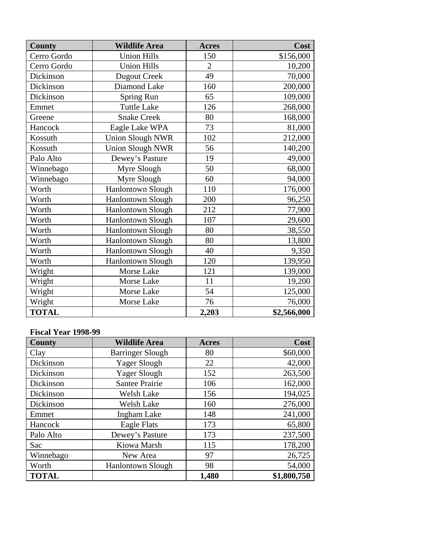| <b>County</b> | <b>Wildlife Area</b>     | <b>Acres</b>   | Cost        |
|---------------|--------------------------|----------------|-------------|
| Cerro Gordo   | <b>Union Hills</b>       | 150            | \$156,000   |
| Cerro Gordo   | <b>Union Hills</b>       | $\overline{2}$ | 10,200      |
| Dickinson     | <b>Dugout Creek</b>      | 49             | 70,000      |
| Dickinson     | Diamond Lake             | 160            | 200,000     |
| Dickinson     | Spring Run               | 65             | 109,000     |
| Emmet         | <b>Tuttle Lake</b>       | 126            | 268,000     |
| Greene        | <b>Snake Creek</b>       | 80             | 168,000     |
| Hancock       | Eagle Lake WPA           | 73             | 81,000      |
| Kossuth       | <b>Union Slough NWR</b>  | 102            | 212,000     |
| Kossuth       | <b>Union Slough NWR</b>  | 56             | 140,200     |
| Palo Alto     | Dewey's Pasture          | 19             | 49,000      |
| Winnebago     | Myre Slough              | 50             | 68,000      |
| Winnebago     | Myre Slough              | 60             | 94,000      |
| Worth         | <b>Hanlontown Slough</b> | 110            | 176,000     |
| Worth         | <b>Hanlontown Slough</b> | 200            | 96,250      |
| Worth         | <b>Hanlontown Slough</b> | 212            | 77,900      |
| Worth         | Hanlontown Slough        | 107            | 29,600      |
| Worth         | <b>Hanlontown Slough</b> | 80             | 38,550      |
| Worth         | <b>Hanlontown Slough</b> | 80             | 13,800      |
| Worth         | <b>Hanlontown Slough</b> | 40             | 9,350       |
| Worth         | <b>Hanlontown Slough</b> | 120            | 139,950     |
| Wright        | Morse Lake               | 121            | 139,000     |
| Wright        | Morse Lake               | 11             | 19,200      |
| Wright        | Morse Lake               | 54             | 125,000     |
| Wright        | Morse Lake               | 76             | 76,000      |
| <b>TOTAL</b>  |                          | 2,203          | \$2,566,000 |

# **Fiscal Year 1998-99**

| <b>County</b> | <b>Wildlife Area</b>     | <b>Acres</b> | Cost        |
|---------------|--------------------------|--------------|-------------|
| Clay          | <b>Barringer Slough</b>  | 80           | \$60,000    |
| Dickinson     | Yager Slough             | 22           | 42,000      |
| Dickinson     | Yager Slough             | 152          | 263,500     |
| Dickinson     | Santee Prairie           | 106          | 162,000     |
| Dickinson     | Welsh Lake               | 156          | 194,025     |
| Dickinson     | Welsh Lake               | 160          | 276,000     |
| Emmet         | <b>Ingham Lake</b>       | 148          | 241,000     |
| Hancock       | Eagle Flats              | 173          | 65,800      |
| Palo Alto     | Dewey's Pasture          | 173          | 237,500     |
| Sac           | Kiowa Marsh              | 115          | 178,200     |
| Winnebago     | New Area                 | 97           | 26,725      |
| Worth         | <b>Hanlontown Slough</b> | 98           | 54,000      |
| <b>TOTAL</b>  |                          | 1,480        | \$1,800,750 |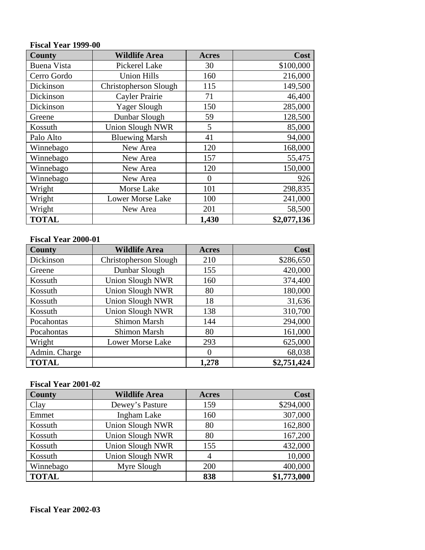#### **Fiscal Year 1999-00**

| <b>County</b>      | <b>Wildlife Area</b>    | <b>Acres</b> | Cost        |
|--------------------|-------------------------|--------------|-------------|
| <b>Buena Vista</b> | Pickerel Lake           | 30           | \$100,000   |
| Cerro Gordo        | <b>Union Hills</b>      | 160          | 216,000     |
| Dickinson          | Christopherson Slough   | 115          | 149,500     |
| Dickinson          | Cayler Prairie          | 71           | 46,400      |
| Dickinson          | Yager Slough            | 150          | 285,000     |
| Greene             | Dunbar Slough           | 59           | 128,500     |
| Kossuth            | <b>Union Slough NWR</b> | 5            | 85,000      |
| Palo Alto          | <b>Bluewing Marsh</b>   | 41           | 94,000      |
| Winnebago          | New Area                | 120          | 168,000     |
| Winnebago          | New Area                | 157          | 55,475      |
| Winnebago          | New Area                | 120          | 150,000     |
| Winnebago          | New Area                | $\theta$     | 926         |
| Wright             | Morse Lake              | 101          | 298,835     |
| Wright             | Lower Morse Lake        | 100          | 241,000     |
| Wright             | New Area                | 201          | 58,500      |
| <b>TOTAL</b>       |                         | 1,430        | \$2,077,136 |

#### **Fiscal Year 2000-01**

| County        | <b>Wildlife Area</b>    | <b>Acres</b> | Cost        |
|---------------|-------------------------|--------------|-------------|
| Dickinson     | Christopherson Slough   | 210          | \$286,650   |
| Greene        | Dunbar Slough           | 155          | 420,000     |
| Kossuth       | <b>Union Slough NWR</b> | 160          | 374,400     |
| Kossuth       | <b>Union Slough NWR</b> | 80           | 180,000     |
| Kossuth       | <b>Union Slough NWR</b> | 18           | 31,636      |
| Kossuth       | <b>Union Slough NWR</b> | 138          | 310,700     |
| Pocahontas    | <b>Shimon Marsh</b>     | 144          | 294,000     |
| Pocahontas    | <b>Shimon Marsh</b>     | 80           | 161,000     |
| Wright        | <b>Lower Morse Lake</b> | 293          | 625,000     |
| Admin. Charge |                         | 0            | 68,038      |
| <b>TOTAL</b>  |                         | 1,278        | \$2,751,424 |

#### **Fiscal Year 2001-02**

| <b>County</b> | <b>Wildlife Area</b>    | <b>Acres</b> | Cost        |
|---------------|-------------------------|--------------|-------------|
| Clay          | Dewey's Pasture         | 159          | \$294,000   |
| Emmet         | <b>Ingham Lake</b>      | 160          | 307,000     |
| Kossuth       | <b>Union Slough NWR</b> | 80           | 162,800     |
| Kossuth       | <b>Union Slough NWR</b> | 80           | 167,200     |
| Kossuth       | <b>Union Slough NWR</b> | 155          | 432,000     |
| Kossuth       | <b>Union Slough NWR</b> | 4            | 10,000      |
| Winnebago     | Myre Slough             | 200          | 400,000     |
| <b>TOTAL</b>  |                         | 838          | \$1,773,000 |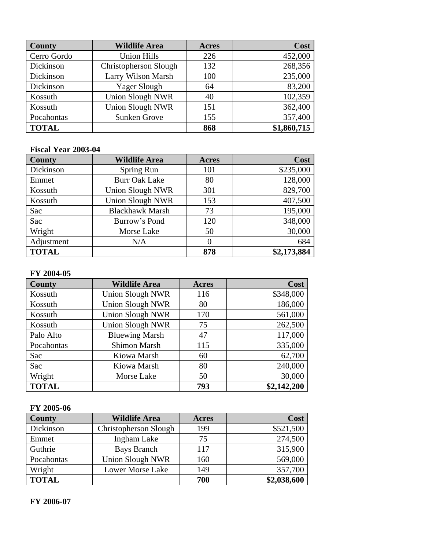| <b>County</b> | <b>Wildlife Area</b>         | <b>Acres</b> | Cost        |
|---------------|------------------------------|--------------|-------------|
| Cerro Gordo   | <b>Union Hills</b>           | 226          | 452,000     |
| Dickinson     | <b>Christopherson Slough</b> | 132          | 268,356     |
| Dickinson     | Larry Wilson Marsh           | 100          | 235,000     |
| Dickinson     | Yager Slough                 | 64           | 83,200      |
| Kossuth       | <b>Union Slough NWR</b>      | 40           | 102,359     |
| Kossuth       | <b>Union Slough NWR</b>      | 151          | 362,400     |
| Pocahontas    | Sunken Grove                 | 155          | 357,400     |
| <b>TOTAL</b>  |                              | 868          | \$1,860,715 |

## **Fiscal Year 2003-04**

| County       | <b>Wildlife Area</b>    | <b>Acres</b> | Cost        |
|--------------|-------------------------|--------------|-------------|
| Dickinson    | Spring Run              | 101          | \$235,000   |
| Emmet        | <b>Burr Oak Lake</b>    | 80           | 128,000     |
| Kossuth      | <b>Union Slough NWR</b> | 301          | 829,700     |
| Kossuth      | <b>Union Slough NWR</b> | 153          | 407,500     |
| Sac          | <b>Blackhawk Marsh</b>  | 73           | 195,000     |
| Sac          | Burrow's Pond           | 120          | 348,000     |
| Wright       | Morse Lake              | 50           | 30,000      |
| Adjustment   | N/A                     | $\Omega$     | 684         |
| <b>TOTAL</b> |                         | 878          | \$2,173,884 |

#### **FY 2004-05**

| County       | <b>Wildlife Area</b>    | Acres | Cost        |
|--------------|-------------------------|-------|-------------|
| Kossuth      | <b>Union Slough NWR</b> | 116   | \$348,000   |
| Kossuth      | <b>Union Slough NWR</b> | 80    | 186,000     |
| Kossuth      | <b>Union Slough NWR</b> | 170   | 561,000     |
| Kossuth      | <b>Union Slough NWR</b> | 75    | 262,500     |
| Palo Alto    | <b>Bluewing Marsh</b>   | 47    | 117,000     |
| Pocahontas   | <b>Shimon Marsh</b>     | 115   | 335,000     |
| Sac          | Kiowa Marsh             | 60    | 62,700      |
| Sac          | Kiowa Marsh             | 80    | 240,000     |
| Wright       | Morse Lake              | 50    | 30,000      |
| <b>TOTAL</b> |                         | 793   | \$2,142,200 |

#### **FY 2005-06**

| <b>County</b> | <b>Wildlife Area</b>    | Acres | Cost        |
|---------------|-------------------------|-------|-------------|
| Dickinson     | Christopherson Slough   | 199   | \$521,500   |
| Emmet         | <b>Ingham Lake</b>      | 75    | 274,500     |
| Guthrie       | <b>Bays Branch</b>      | 117   | 315,900     |
| Pocahontas    | <b>Union Slough NWR</b> | 160   | 569,000     |
| Wright        | <b>Lower Morse Lake</b> | 149   | 357,700     |
| <b>TOTAL</b>  |                         | 700   | \$2,038,600 |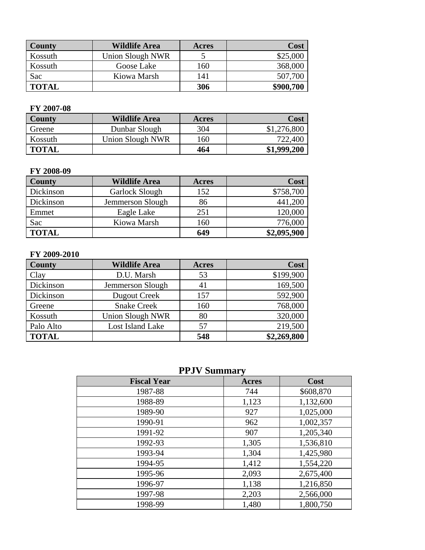| County       | <b>Wildlife Area</b>    | Acres | <b>Cost</b> |
|--------------|-------------------------|-------|-------------|
| Kossuth      | <b>Union Slough NWR</b> |       | \$25,000    |
| Kossuth      | Goose Lake              | 160   | 368,000     |
| Sac          | Kiowa Marsh             | 141   | 507,700     |
| <b>TOTAL</b> |                         | 306   | \$900,700   |

#### **FY 2007-08**

| <b>County</b> | <b>Wildlife Area</b> | Acres | Cost        |
|---------------|----------------------|-------|-------------|
| Greene        | Dunbar Slough        | 304   | \$1,276,800 |
| Kossuth       | Union Slough NWR     | 160   | 722,400     |
| <b>TOTAL</b>  |                      | 464   | \$1,999,200 |

#### **FY 2008-09**

| County       | <b>Wildlife Area</b> | Acres | Cost        |
|--------------|----------------------|-------|-------------|
| Dickinson    | Garlock Slough       | 152   | \$758,700   |
| Dickinson    | Jemmerson Slough     | 86    | 441,200     |
| Emmet        | Eagle Lake           | 251   | 120,000     |
| Sac          | Kiowa Marsh          | 160   | 776,000     |
| <b>TOTAL</b> |                      | 649   | \$2,095,900 |

#### **FY 2009-2010**

| <b>County</b> | <b>Wildlife Area</b>    | Acres | Cost        |
|---------------|-------------------------|-------|-------------|
| Clay          | D.U. Marsh              | 53    | \$199,900   |
| Dickinson     | Jemmerson Slough        | 41    | 169,500     |
| Dickinson     | Dugout Creek            | 157   | 592,900     |
| Greene        | <b>Snake Creek</b>      | 160   | 768,000     |
| Kossuth       | <b>Union Slough NWR</b> | 80    | 320,000     |
| Palo Alto     | Lost Island Lake        | 57    | 219,500     |
| <b>TOTAL</b>  |                         | 548   | \$2,269,800 |

## **PPJV Summary**

| <b>Fiscal Year</b> | Acres | Cost      |
|--------------------|-------|-----------|
| 1987-88            | 744   | \$608,870 |
| 1988-89            | 1,123 | 1,132,600 |
| 1989-90            | 927   | 1,025,000 |
| 1990-91            | 962   | 1,002,357 |
| 1991-92            | 907   | 1,205,340 |
| 1992-93            | 1,305 | 1,536,810 |
| 1993-94            | 1,304 | 1,425,980 |
| 1994-95            | 1,412 | 1,554,220 |
| 1995-96            | 2,093 | 2,675,400 |
| 1996-97            | 1,138 | 1,216,850 |
| 1997-98            | 2,203 | 2,566,000 |
| 1998-99            | 1,480 | 1,800,750 |